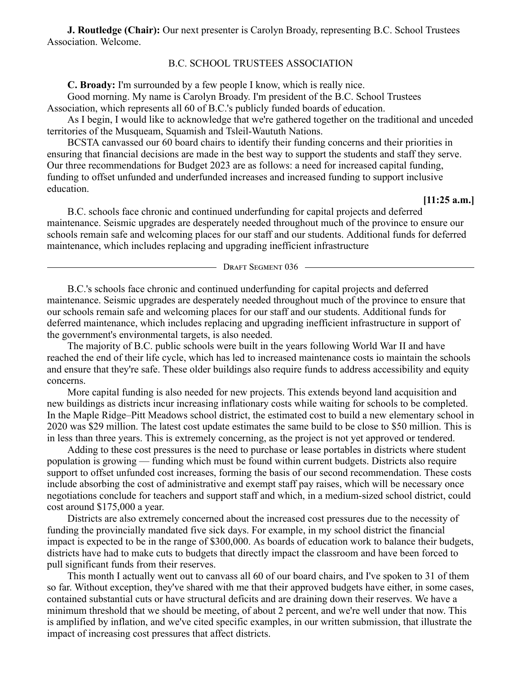**J. Routledge (Chair):** Our next presenter is Carolyn Broady, representing B.C. School Trustees Association. Welcome.

## B.C. SCHOOL TRUSTEES ASSOCIATION

**C. Broady:** I'm surrounded by a few people I know, which is really nice.

Good morning. My name is Carolyn Broady. I'm president of the B.C. School Trustees Association, which represents all 60 of B.C.'s publicly funded boards of education.

As I begin, I would like to acknowledge that we're gathered together on the traditional and unceded territories of the Musqueam, Squamish and Tsleil-Waututh Nations.

BCSTA canvassed our 60 board chairs to identify their funding concerns and their priorities in ensuring that financial decisions are made in the best way to support the students and staff they serve. Our three recommendations for Budget 2023 are as follows: a need for increased capital funding, funding to offset unfunded and underfunded increases and increased funding to support inclusive education.

**[11:25 a.m.]**

B.C. schools face chronic and continued underfunding for capital projects and deferred maintenance. Seismic upgrades are desperately needed throughout much of the province to ensure our schools remain safe and welcoming places for our staff and our students. Additional funds for deferred maintenance, which includes replacing and upgrading inefficient infrastructure

- DRAFT SEGMENT 036 -

B.C.'s schools face chronic and continued underfunding for capital projects and deferred maintenance. Seismic upgrades are desperately needed throughout much of the province to ensure that our schools remain safe and welcoming places for our staff and our students. Additional funds for deferred maintenance, which includes replacing and upgrading inefficient infrastructure in support of the government's environmental targets, is also needed.

The majority of B.C. public schools were built in the years following World War II and have reached the end of their life cycle, which has led to increased maintenance costs io maintain the schools and ensure that they're safe. These older buildings also require funds to address accessibility and equity concerns.

More capital funding is also needed for new projects. This extends beyond land acquisition and new buildings as districts incur increasing inflationary costs while waiting for schools to be completed. In the Maple Ridge–Pitt Meadows school district, the estimated cost to build a new elementary school in 2020 was \$29 million. The latest cost update estimates the same build to be close to \$50 million. This is in less than three years. This is extremely concerning, as the project is not yet approved or tendered.

Adding to these cost pressures is the need to purchase or lease portables in districts where student population is growing — funding which must be found within current budgets. Districts also require support to offset unfunded cost increases, forming the basis of our second recommendation. These costs include absorbing the cost of administrative and exempt staff pay raises, which will be necessary once negotiations conclude for teachers and support staff and which, in a medium-sized school district, could cost around \$175,000 a year.

Districts are also extremely concerned about the increased cost pressures due to the necessity of funding the provincially mandated five sick days. For example, in my school district the financial impact is expected to be in the range of \$300,000. As boards of education work to balance their budgets, districts have had to make cuts to budgets that directly impact the classroom and have been forced to pull significant funds from their reserves.

This month I actually went out to canvass all 60 of our board chairs, and I've spoken to 31 of them so far. Without exception, they've shared with me that their approved budgets have either, in some cases, contained substantial cuts or have structural deficits and are draining down their reserves. We have a minimum threshold that we should be meeting, of about 2 percent, and we're well under that now. This is amplified by inflation, and we've cited specific examples, in our written submission, that illustrate the impact of increasing cost pressures that affect districts.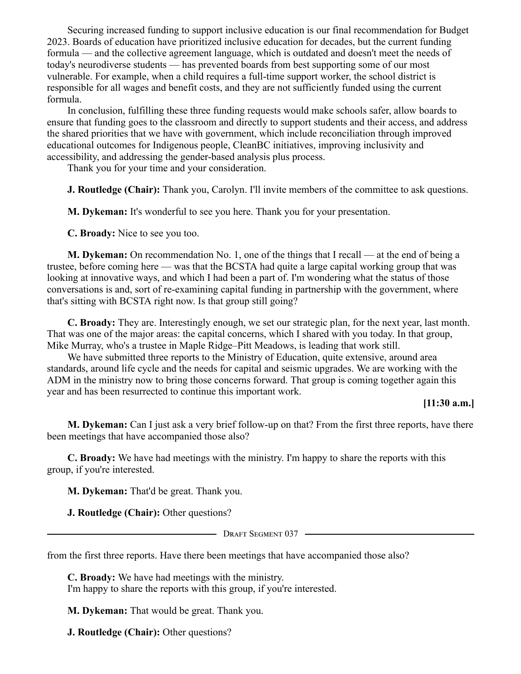Securing increased funding to support inclusive education is our final recommendation for Budget 2023. Boards of education have prioritized inclusive education for decades, but the current funding formula — and the collective agreement language, which is outdated and doesn't meet the needs of today's neurodiverse students — has prevented boards from best supporting some of our most vulnerable. For example, when a child requires a full-time support worker, the school district is responsible for all wages and benefit costs, and they are not sufficiently funded using the current formula.

In conclusion, fulfilling these three funding requests would make schools safer, allow boards to ensure that funding goes to the classroom and directly to support students and their access, and address the shared priorities that we have with government, which include reconciliation through improved educational outcomes for Indigenous people, CleanBC initiatives, improving inclusivity and accessibility, and addressing the gender-based analysis plus process.

Thank you for your time and your consideration.

**J. Routledge (Chair):** Thank you, Carolyn. I'll invite members of the committee to ask questions.

**M. Dykeman:** It's wonderful to see you here. Thank you for your presentation.

**C. Broady:** Nice to see you too.

**M. Dykeman:** On recommendation No. 1, one of the things that I recall — at the end of being a trustee, before coming here — was that the BCSTA had quite a large capital working group that was looking at innovative ways, and which I had been a part of. I'm wondering what the status of those conversations is and, sort of re-examining capital funding in partnership with the government, where that's sitting with BCSTA right now. Is that group still going?

**C. Broady:** They are. Interestingly enough, we set our strategic plan, for the next year, last month. That was one of the major areas: the capital concerns, which I shared with you today. In that group, Mike Murray, who's a trustee in Maple Ridge–Pitt Meadows, is leading that work still.

We have submitted three reports to the Ministry of Education, quite extensive, around area standards, around life cycle and the needs for capital and seismic upgrades. We are working with the ADM in the ministry now to bring those concerns forward. That group is coming together again this year and has been resurrected to continue this important work.

## **[11:30 a.m.]**

**M. Dykeman:** Can I just ask a very brief follow-up on that? From the first three reports, have there been meetings that have accompanied those also?

**C. Broady:** We have had meetings with the ministry. I'm happy to share the reports with this group, if you're interested.

**M. Dykeman:** That'd be great. Thank you.

**J. Routledge (Chair):** Other questions?

- Draft Segment 037 -

from the first three reports. Have there been meetings that have accompanied those also?

**C. Broady:** We have had meetings with the ministry. I'm happy to share the reports with this group, if you're interested.

**M. Dykeman:** That would be great. Thank you.

**J. Routledge (Chair):** Other questions?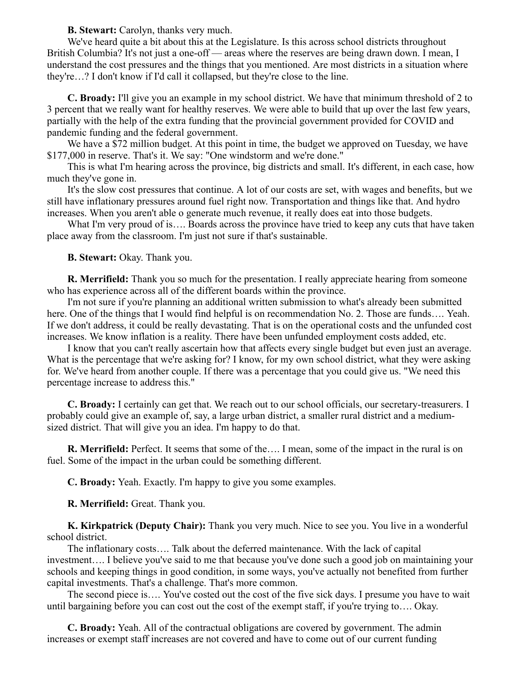**B. Stewart:** Carolyn, thanks very much.

We've heard quite a bit about this at the Legislature. Is this across school districts throughout British Columbia? It's not just a one-off — areas where the reserves are being drawn down. I mean, I understand the cost pressures and the things that you mentioned. Are most districts in a situation where they're…? I don't know if I'd call it collapsed, but they're close to the line.

**C. Broady:** I'll give you an example in my school district. We have that minimum threshold of 2 to 3 percent that we really want for healthy reserves. We were able to build that up over the last few years, partially with the help of the extra funding that the provincial government provided for COVID and pandemic funding and the federal government.

We have a \$72 million budget. At this point in time, the budget we approved on Tuesday, we have \$177,000 in reserve. That's it. We say: "One windstorm and we're done."

This is what I'm hearing across the province, big districts and small. It's different, in each case, how much they've gone in.

It's the slow cost pressures that continue. A lot of our costs are set, with wages and benefits, but we still have inflationary pressures around fuel right now. Transportation and things like that. And hydro increases. When you aren't able o generate much revenue, it really does eat into those budgets.

What I'm very proud of is…. Boards across the province have tried to keep any cuts that have taken place away from the classroom. I'm just not sure if that's sustainable.

**B. Stewart:** Okay. Thank you.

**R. Merrifield:** Thank you so much for the presentation. I really appreciate hearing from someone who has experience across all of the different boards within the province.

I'm not sure if you're planning an additional written submission to what's already been submitted here. One of the things that I would find helpful is on recommendation No. 2. Those are funds…. Yeah. If we don't address, it could be really devastating. That is on the operational costs and the unfunded cost increases. We know inflation is a reality. There have been unfunded employment costs added, etc.

I know that you can't really ascertain how that affects every single budget but even just an average. What is the percentage that we're asking for? I know, for my own school district, what they were asking for. We've heard from another couple. If there was a percentage that you could give us. "We need this percentage increase to address this."

**C. Broady:** I certainly can get that. We reach out to our school officials, our secretary-treasurers. I probably could give an example of, say, a large urban district, a smaller rural district and a mediumsized district. That will give you an idea. I'm happy to do that.

**R. Merrifield:** Perfect. It seems that some of the…. I mean, some of the impact in the rural is on fuel. Some of the impact in the urban could be something different.

**C. Broady:** Yeah. Exactly. I'm happy to give you some examples.

**R. Merrifield:** Great. Thank you.

**K. Kirkpatrick (Deputy Chair):** Thank you very much. Nice to see you. You live in a wonderful school district.

The inflationary costs…. Talk about the deferred maintenance. With the lack of capital investment…. I believe you've said to me that because you've done such a good job on maintaining your schools and keeping things in good condition, in some ways, you've actually not benefited from further capital investments. That's a challenge. That's more common.

The second piece is…. You've costed out the cost of the five sick days. I presume you have to wait until bargaining before you can cost out the cost of the exempt staff, if you're trying to…. Okay.

**C. Broady:** Yeah. All of the contractual obligations are covered by government. The admin increases or exempt staff increases are not covered and have to come out of our current funding